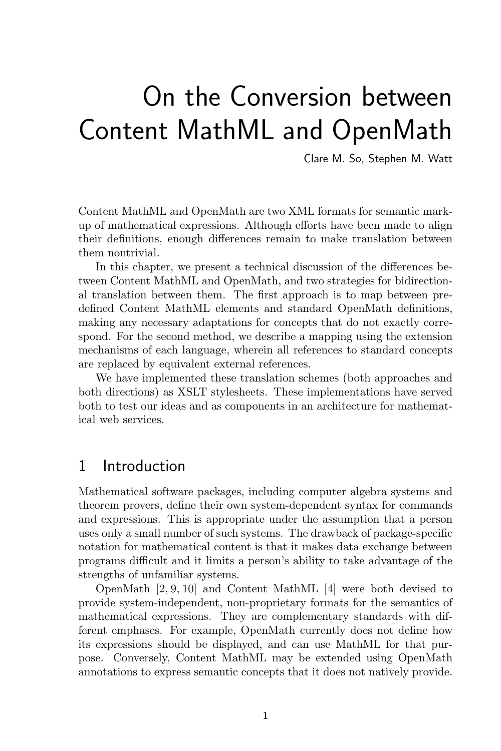# On the Conversion between Content MathML and OpenMath

Clare M. So, Stephen M. Watt

Content MathML and OpenMath are two XML formats for semantic markup of mathematical expressions. Although efforts have been made to align their definitions, enough differences remain to make translation between them nontrivial.

In this chapter, we present a technical discussion of the differences between Content MathML and OpenMath, and two strategies for bidirectional translation between them. The first approach is to map between predefined Content MathML elements and standard OpenMath definitions, making any necessary adaptations for concepts that do not exactly correspond. For the second method, we describe a mapping using the extension mechanisms of each language, wherein all references to standard concepts are replaced by equivalent external references.

We have implemented these translation schemes (both approaches and both directions) as XSLT stylesheets. These implementations have served both to test our ideas and as components in an architecture for mathematical web services.

### 1 Introduction

Mathematical software packages, including computer algebra systems and theorem provers, define their own system-dependent syntax for commands and expressions. This is appropriate under the assumption that a person uses only a small number of such systems. The drawback of package-specific notation for mathematical content is that it makes data exchange between programs difficult and it limits a person's ability to take advantage of the strengths of unfamiliar systems.

OpenMath [2, 9, 10] and Content MathML [4] were both devised to provide system-independent, non-proprietary formats for the semantics of mathematical expressions. They are complementary standards with different emphases. For example, OpenMath currently does not define how its expressions should be displayed, and can use MathML for that purpose. Conversely, Content MathML may be extended using OpenMath annotations to express semantic concepts that it does not natively provide.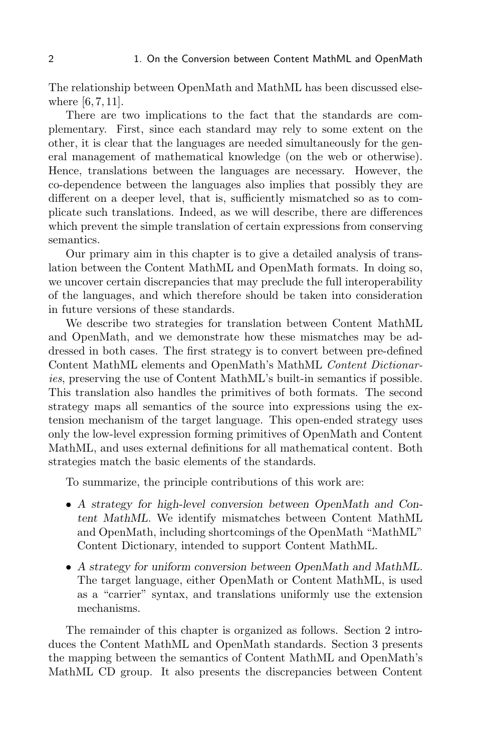The relationship between OpenMath and MathML has been discussed elsewhere [6, 7, 11].

There are two implications to the fact that the standards are complementary. First, since each standard may rely to some extent on the other, it is clear that the languages are needed simultaneously for the general management of mathematical knowledge (on the web or otherwise). Hence, translations between the languages are necessary. However, the co-dependence between the languages also implies that possibly they are different on a deeper level, that is, sufficiently mismatched so as to complicate such translations. Indeed, as we will describe, there are differences which prevent the simple translation of certain expressions from conserving semantics.

Our primary aim in this chapter is to give a detailed analysis of translation between the Content MathML and OpenMath formats. In doing so, we uncover certain discrepancies that may preclude the full interoperability of the languages, and which therefore should be taken into consideration in future versions of these standards.

We describe two strategies for translation between Content MathML and OpenMath, and we demonstrate how these mismatches may be addressed in both cases. The first strategy is to convert between pre-defined Content MathML elements and OpenMath's MathML Content Dictionaries, preserving the use of Content MathML's built-in semantics if possible. This translation also handles the primitives of both formats. The second strategy maps all semantics of the source into expressions using the extension mechanism of the target language. This open-ended strategy uses only the low-level expression forming primitives of OpenMath and Content MathML, and uses external definitions for all mathematical content. Both strategies match the basic elements of the standards.

To summarize, the principle contributions of this work are:

- A strategy for high-level conversion between OpenMath and Content MathML. We identify mismatches between Content MathML and OpenMath, including shortcomings of the OpenMath "MathML" Content Dictionary, intended to support Content MathML.
- A strategy for uniform conversion between OpenMath and MathML. The target language, either OpenMath or Content MathML, is used as a "carrier" syntax, and translations uniformly use the extension mechanisms.

The remainder of this chapter is organized as follows. Section 2 introduces the Content MathML and OpenMath standards. Section 3 presents the mapping between the semantics of Content MathML and OpenMath's MathML CD group. It also presents the discrepancies between Content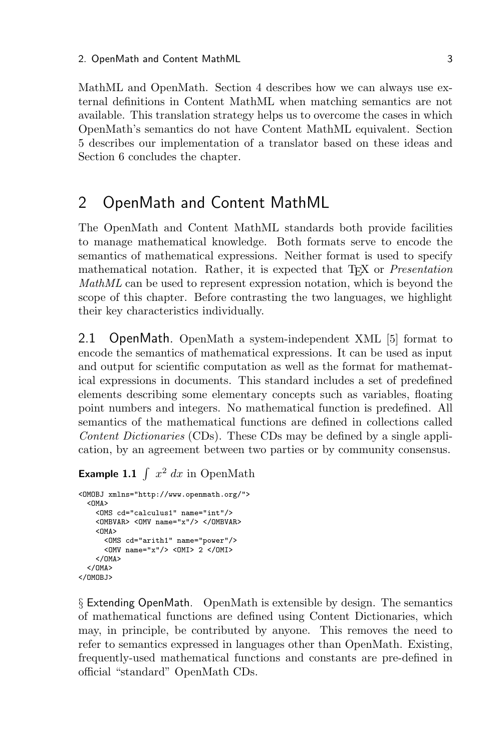MathML and OpenMath. Section 4 describes how we can always use external definitions in Content MathML when matching semantics are not available. This translation strategy helps us to overcome the cases in which OpenMath's semantics do not have Content MathML equivalent. Section 5 describes our implementation of a translator based on these ideas and Section 6 concludes the chapter.

## 2 OpenMath and Content MathML

The OpenMath and Content MathML standards both provide facilities to manage mathematical knowledge. Both formats serve to encode the semantics of mathematical expressions. Neither format is used to specify mathematical notation. Rather, it is expected that T<sub>E</sub>X or *Presentation* MathML can be used to represent expression notation, which is beyond the scope of this chapter. Before contrasting the two languages, we highlight their key characteristics individually.

2.1 OpenMath. OpenMath a system-independent XML [5] format to encode the semantics of mathematical expressions. It can be used as input and output for scientific computation as well as the format for mathematical expressions in documents. This standard includes a set of predefined elements describing some elementary concepts such as variables, floating point numbers and integers. No mathematical function is predefined. All semantics of the mathematical functions are defined in collections called Content Dictionaries (CDs). These CDs may be defined by a single application, by an agreement between two parties or by community consensus.

**Example 1.1**  $\int x^2 dx$  in OpenMath

```
<OMOBJ xmlns="http://www.openmath.org/">
  <OMA<OMS cd="calculus1" name="int"/>
    <OMBVAR> <OMV name="x"/> </OMBVAR>
    <MAS<OMS cd="arith1" name="power"/>
      <OMV name="x"/> <OMI> 2 </OMI>
    </OMA>
  </OMA>
</OMOBJ>
```
§ Extending OpenMath. OpenMath is extensible by design. The semantics of mathematical functions are defined using Content Dictionaries, which may, in principle, be contributed by anyone. This removes the need to refer to semantics expressed in languages other than OpenMath. Existing, frequently-used mathematical functions and constants are pre-defined in official "standard" OpenMath CDs.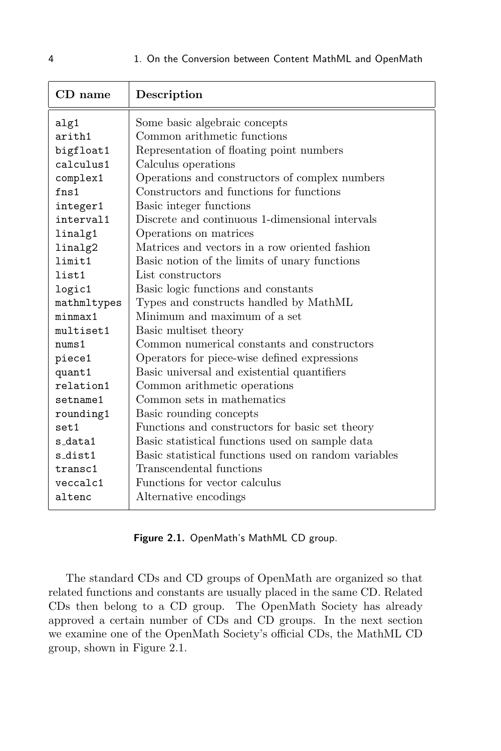| $CD$ name       | Description                                          |  |  |
|-----------------|------------------------------------------------------|--|--|
| alg1            | Some basic algebraic concepts                        |  |  |
| arith1          | Common arithmetic functions                          |  |  |
| bigfloat1       | Representation of floating point numbers             |  |  |
| $cal$ calculus1 | Calculus operations                                  |  |  |
| complex1        | Operations and constructors of complex numbers       |  |  |
| fns1            | Constructors and functions for functions             |  |  |
| integer1        | Basic integer functions                              |  |  |
| interval1       | Discrete and continuous 1-dimensional intervals      |  |  |
| linalg1         | Operations on matrices                               |  |  |
| linalg2         | Matrices and vectors in a row oriented fashion       |  |  |
| limit1          | Basic notion of the limits of unary functions        |  |  |
| list1           | List constructors                                    |  |  |
| logic1          | Basic logic functions and constants                  |  |  |
| mathmltypes     | Types and constructs handled by MathML               |  |  |
| minmax1         | Minimum and maximum of a set                         |  |  |
| multiset1       | Basic multiset theory                                |  |  |
| nums1           | Common numerical constants and constructors          |  |  |
| piece1          | Operators for piece-wise defined expressions         |  |  |
| quant1          | Basic universal and existential quantifiers          |  |  |
| relation1       | Common arithmetic operations                         |  |  |
| setname1        | Common sets in mathematics                           |  |  |
| rounding1       | Basic rounding concepts                              |  |  |
| set.1           | Functions and constructors for basic set theory      |  |  |
| s_data1         | Basic statistical functions used on sample data      |  |  |
| s dist1         | Basic statistical functions used on random variables |  |  |
| transc1         | Transcendental functions                             |  |  |
| veccalc1        | Functions for vector calculus                        |  |  |
| altenc          | Alternative encodings                                |  |  |

Figure 2.1. OpenMath's MathML CD group.

The standard CDs and CD groups of OpenMath are organized so that related functions and constants are usually placed in the same CD. Related CDs then belong to a CD group. The OpenMath Society has already approved a certain number of CDs and CD groups. In the next section we examine one of the OpenMath Society's official CDs, the MathML CD group, shown in Figure 2.1.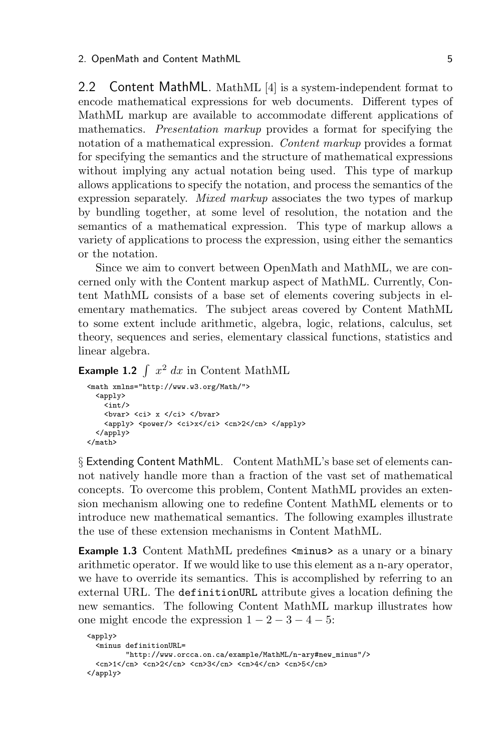2.2 Content MathML. MathML [4] is a system-independent format to encode mathematical expressions for web documents. Different types of MathML markup are available to accommodate different applications of mathematics. Presentation markup provides a format for specifying the notation of a mathematical expression. Content markup provides a format for specifying the semantics and the structure of mathematical expressions without implying any actual notation being used. This type of markup allows applications to specify the notation, and process the semantics of the expression separately. Mixed markup associates the two types of markup by bundling together, at some level of resolution, the notation and the semantics of a mathematical expression. This type of markup allows a variety of applications to process the expression, using either the semantics or the notation.

Since we aim to convert between OpenMath and MathML, we are concerned only with the Content markup aspect of MathML. Currently, Content MathML consists of a base set of elements covering subjects in elementary mathematics. The subject areas covered by Content MathML to some extent include arithmetic, algebra, logic, relations, calculus, set theory, sequences and series, elementary classical functions, statistics and linear algebra.

Example 1.2  $\int x^2 dx$  in Content MathML

```
<math xmlns="http://www.w3.org/Math/">
  \langle \text{apply} \rangle\langle \text{int}/\rangle<bvar> <ci> x </ci> </bvar>
     <apply> <power/> <ci>x</ci> <cn>2</cn> </apply>
  </apply>
\langle/math>
```
§ Extending Content MathML. Content MathML's base set of elements cannot natively handle more than a fraction of the vast set of mathematical concepts. To overcome this problem, Content MathML provides an extension mechanism allowing one to redefine Content MathML elements or to introduce new mathematical semantics. The following examples illustrate the use of these extension mechanisms in Content MathML.

**Example 1.3** Content MathML predefines  $\langle$  minus  $\rangle$  as a unary or a binary arithmetic operator. If we would like to use this element as a n-ary operator, we have to override its semantics. This is accomplished by referring to an external URL. The definitionURL attribute gives a location defining the new semantics. The following Content MathML markup illustrates how one might encode the expression  $1 - 2 - 3 - 4 - 5$ :

```
<apply>
 <minus definitionURL=
        "http://www.orcca.on.ca/example/MathML/n-ary#new_minus"/>
 <cn>1</cn> <cn>2</cn> <cn>3</cn> <cn>4</cn> <cn>5</cn>
</apply>
```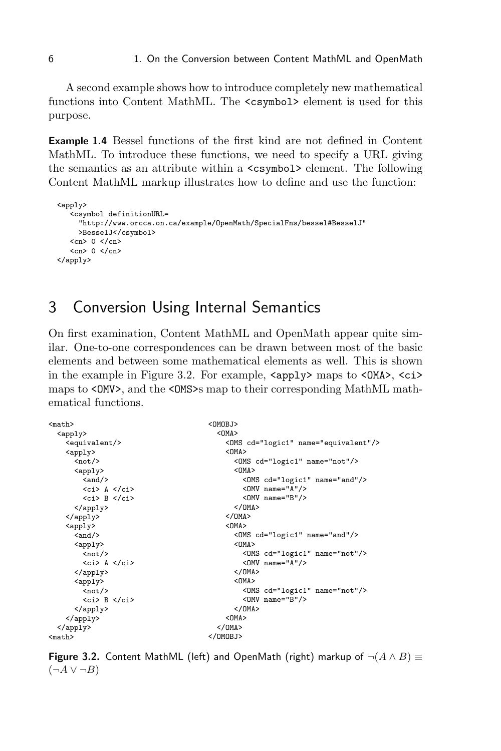A second example shows how to introduce completely new mathematical functions into Content MathML. The <csymbol> element is used for this purpose.

Example 1.4 Bessel functions of the first kind are not defined in Content MathML. To introduce these functions, we need to specify a URL giving the semantics as an attribute within a <csymbol> element. The following Content MathML markup illustrates how to define and use the function:

```
<apply>
   <csymbol definitionURL=
      "http://www.orcca.on.ca/example/OpenMath/SpecialFns/bessel#BesselJ"
     >BesselJ</csymbol>
   \langlecn> 0 \langle/cn>
   \langle cn \rangle 0 \langle cn \rangle</apply>
```
## 3 Conversion Using Internal Semantics

On first examination, Content MathML and OpenMath appear quite similar. One-to-one correspondences can be drawn between most of the basic elements and between some mathematical elements as well. This is shown in the example in Figure 3.2. For example,  $\langle \text{apply> maps to } \langle \text{OMA>}, \langle \text{c} \rangle$ maps to <OMV>, and the <OMS>s map to their corresponding MathML mathematical functions.

```
<math>math</math><apply>
    <equivalent/>
    <apply>
      \langlenot/\langle \text{apply} \rangle\langleand/<ci> A </ci>
        <ci> B </ci>
      </apply>
    </apply>
    <apply>
       \langleand/<apply>
        <sub>not</sub>/></sub>
        <ci> A </ci>
      </apply>
      <apply>
        <sub>not</sub></sub>
        <ci> B </ci>
      </apply>
    </apply>
  </apply>
<math>math<OMOBJ>
                                            <OMA>
                                               <OMS cd="logic1" name="equivalent"/>
                                               <M_A<OMS cd="logic1" name="not"/>
                                                 <OMA>
                                                   <OMS cd="logic1" name="and"/>
                                                   <OMV name="A"/>
                                                   <OMV name="B"/>
                                                 </OMA>
                                               </OMA>
                                               <CMA>
                                                 <OMS cd="logic1" name="and"/>
                                                 <MAS<OMS cd="logic1" name="not"/>
                                                   <OMV name="A"/>
                                                 </OMA>
                                                 <OMA>
                                                   <OMS cd="logic1" name="not"/>
                                                   <OMV name="B"/>
                                                </OMA>
                                               <OMA>
                                            </OMA>
                                          </OMOBJ>
```
**Figure 3.2.** Content MathML (left) and OpenMath (right) markup of  $\neg (A \wedge B) \equiv$  $(\neg A \lor \neg B)$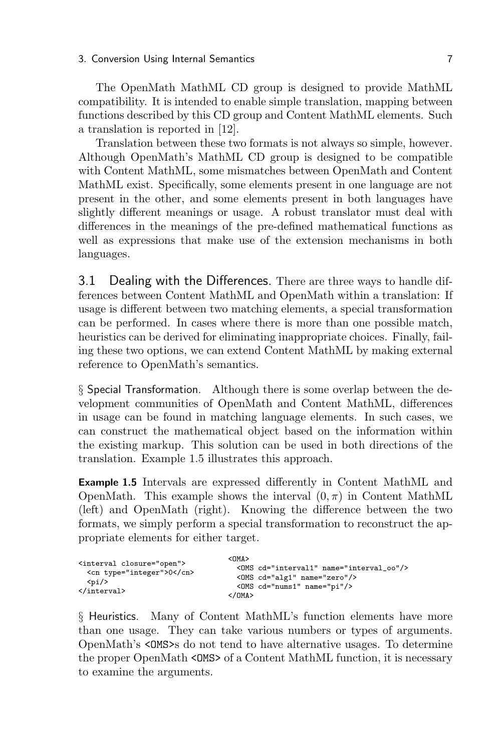### 3. Conversion Using Internal Semantics 7

The OpenMath MathML CD group is designed to provide MathML compatibility. It is intended to enable simple translation, mapping between functions described by this CD group and Content MathML elements. Such a translation is reported in [12].

Translation between these two formats is not always so simple, however. Although OpenMath's MathML CD group is designed to be compatible with Content MathML, some mismatches between OpenMath and Content MathML exist. Specifically, some elements present in one language are not present in the other, and some elements present in both languages have slightly different meanings or usage. A robust translator must deal with differences in the meanings of the pre-defined mathematical functions as well as expressions that make use of the extension mechanisms in both languages.

3.1 Dealing with the Differences. There are three ways to handle differences between Content MathML and OpenMath within a translation: If usage is different between two matching elements, a special transformation can be performed. In cases where there is more than one possible match, heuristics can be derived for eliminating inappropriate choices. Finally, failing these two options, we can extend Content MathML by making external reference to OpenMath's semantics.

§ Special Transformation. Although there is some overlap between the development communities of OpenMath and Content MathML, differences in usage can be found in matching language elements. In such cases, we can construct the mathematical object based on the information within the existing markup. This solution can be used in both directions of the translation. Example 1.5 illustrates this approach.

Example 1.5 Intervals are expressed differently in Content MathML and OpenMath. This example shows the interval  $(0, \pi)$  in Content MathML (left) and OpenMath (right). Knowing the difference between the two formats, we simply perform a special transformation to reconstruct the appropriate elements for either target.

| <interval closure="open"><br/><cn type="integer">0</cn><br/><math>pi/&gt;</math><br/></interval> | $<$ $OMA$<br> | <oms cd="interval1" name="interval_oo"></oms><br><oms cd="alg1" name="zero"></oms><br><oms cd="nums1" name="pi"></oms> |
|--------------------------------------------------------------------------------------------------|---------------|------------------------------------------------------------------------------------------------------------------------|
|--------------------------------------------------------------------------------------------------|---------------|------------------------------------------------------------------------------------------------------------------------|

§ Heuristics. Many of Content MathML's function elements have more than one usage. They can take various numbers or types of arguments. OpenMath's <OMS>s do not tend to have alternative usages. To determine the proper OpenMath <0MS> of a Content MathML function, it is necessary to examine the arguments.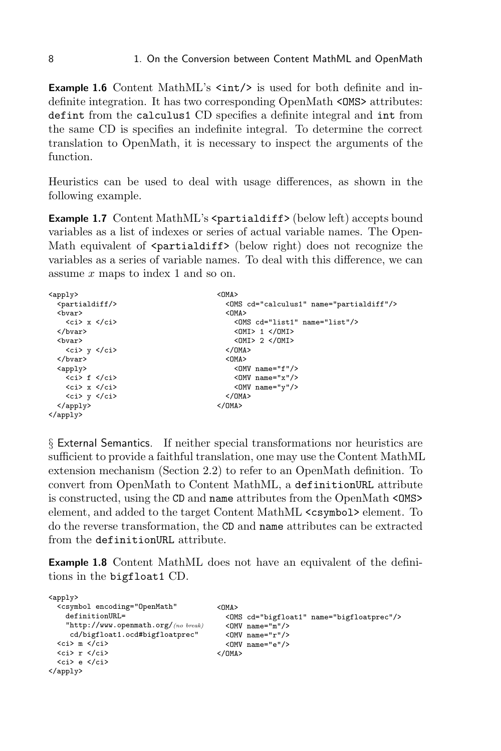**Example 1.6** Content MathML's  $\langle \cdot \rangle$  is used for both definite and indefinite integration. It has two corresponding OpenMath <OMS> attributes: defint from the calculus1 CD specifies a definite integral and int from the same CD is specifies an indefinite integral. To determine the correct translation to OpenMath, it is necessary to inspect the arguments of the function.

Heuristics can be used to deal with usage differences, as shown in the following example.

Example 1.7 Content MathML's <partialdiff> (below left) accepts bound variables as a list of indexes or series of actual variable names. The Open-Math equivalent of  $\epsilon$  is a partial strategier of the recognize the mathematic strategier of  $\epsilon$ variables as a series of variable names. To deal with this difference, we can assume x maps to index 1 and so on.

```
<apply>
 <partialdiff/>
 <bvar>
   <ci> x </ci>
 </bvar>
 <bvar>
   <ci> y </ci>
 </bvar>
 <apply>
   <ci> f </ci>
   <ci> x </ci>
   <ci> y </ci>
 </apply>
</apply>
                                       <MAS<OMS cd="calculus1" name="partialdiff"/>
                                         <OMA<OMS cd="list1" name="list"/>
                                           <OMI> 1 </OMI>
                                           <OMI> 2 </OMI>
                                         </OMA>
                                         <OMA>
                                          <OMV name="f"/>
                                          <OMV name="x"/>
                                          <OMV name="y"/>
                                         </OMA>
                                       </OMA>
```
§ External Semantics. If neither special transformations nor heuristics are sufficient to provide a faithful translation, one may use the Content MathML extension mechanism (Section 2.2) to refer to an OpenMath definition. To convert from OpenMath to Content MathML, a definitionURL attribute is constructed, using the CD and name attributes from the OpenMath <OMS> element, and added to the target Content MathML <csymbol> element. To do the reverse transformation, the CD and name attributes can be extracted from the definitionURL attribute.

Example 1.8 Content MathML does not have an equivalent of the definitions in the bigfloat1 CD.

```
<apply>
 <csymbol encoding="OpenMath"
    definitionURL=
    "http://www.openmath.org/(no break)
    cd/bigfloat1.ocd#bigfloatprec"
  \langleci> m \langle/ci>
 <ci> r </ci>
 <ci> e </ci>
</apply>
                                         <OMA<OMS cd="bigfloat1" name="bigfloatprec"/>
                                           <OMV name="m"/>
                                           <OMV name="r"/>
                                           <OMV name="e"/>
                                         </OMA>
```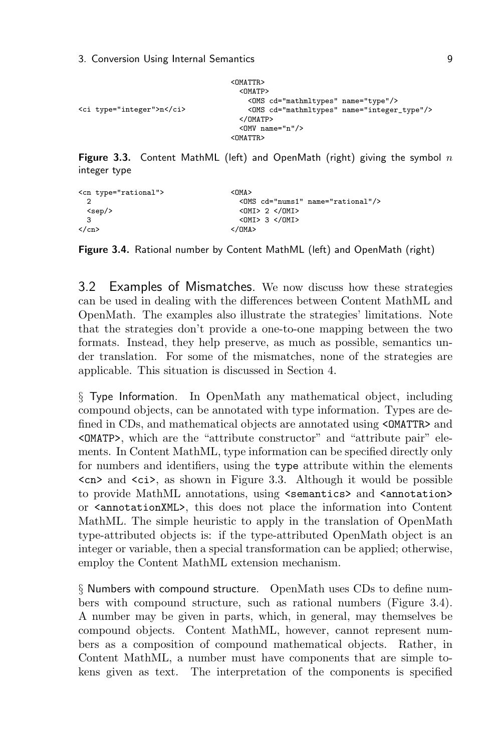```
<ci type="integer">n</ci>
                                               <OMATTR>
                                                  <OMATP>
                                                     <OMS cd="mathmltypes" name="type"/>
<OMS cd="mathmltypes" name="integer_type"/>
                                                  </OMATP>
                                                  <OMV name="n"/>
                                               <OMATTR>
```
Figure 3.3. Content MathML (left) and OpenMath (right) giving the symbol  $n$ integer type

```
<cn type="rational">
 \mathcal{D}<sep/>
  3
\langle/cn>
                                         <NMS<OMS cd="nums1" name="rational"/>
                                           <OMI> 2 </OMI>
                                           <OMI> 3 </OMI>
                                         </OMA>
```
Figure 3.4. Rational number by Content MathML (left) and OpenMath (right)

3.2 Examples of Mismatches. We now discuss how these strategies can be used in dealing with the differences between Content MathML and OpenMath. The examples also illustrate the strategies' limitations. Note that the strategies don't provide a one-to-one mapping between the two formats. Instead, they help preserve, as much as possible, semantics under translation. For some of the mismatches, none of the strategies are applicable. This situation is discussed in Section 4.

§ Type Information. In OpenMath any mathematical object, including compound objects, can be annotated with type information. Types are defined in CDs, and mathematical objects are annotated using <OMATTR> and <OMATP>, which are the "attribute constructor" and "attribute pair" elements. In Content MathML, type information can be specified directly only for numbers and identifiers, using the type attribute within the elements  $\langle$ cn> and  $\langle$ ci>, as shown in Figure 3.3. Although it would be possible to provide MathML annotations, using  $\leq$  semantics> and  $\leq$  annotation> or <annotationXML>, this does not place the information into Content MathML. The simple heuristic to apply in the translation of OpenMath type-attributed objects is: if the type-attributed OpenMath object is an integer or variable, then a special transformation can be applied; otherwise, employ the Content MathML extension mechanism.

§ Numbers with compound structure. OpenMath uses CDs to define numbers with compound structure, such as rational numbers (Figure 3.4). A number may be given in parts, which, in general, may themselves be compound objects. Content MathML, however, cannot represent numbers as a composition of compound mathematical objects. Rather, in Content MathML, a number must have components that are simple tokens given as text. The interpretation of the components is specified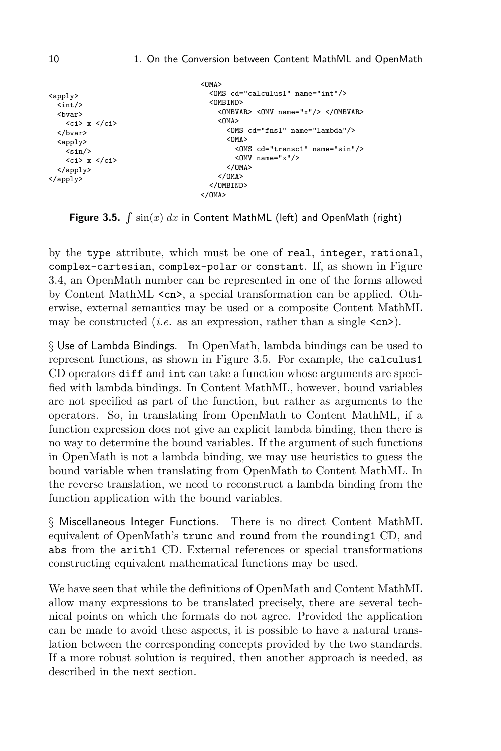```
<apply>
  \langle \text{int}/\rangle\langlehvar\rangle<ci> x </ci>
  </bvar>
  \langle \text{apply} \rangle\langle \sin/ \rangle<ci> x </ci>
  </apply>
</apply>
                                            <OMA><OMS cd="calculus1" name="int"/>
                                               <GMBTND>
                                                 <OMBVAR> <OMV name="x"/> </OMBVAR>
                                                 <OMA>
                                                    <OMS cd="fns1" name="lambda"/>
                                                    <NM\Delta<OMS cd="transc1" name="sin"/>
                                                      <OMV name="x"/>
                                                    </OMA>
                                                 </OMA>
                                               </OMBIND>
                                            </OMA>
```
Figure 3.5.  $\int \sin(x) dx$  in Content MathML (left) and OpenMath (right)

by the type attribute, which must be one of real, integer, rational, complex-cartesian, complex-polar or constant. If, as shown in Figure 3.4, an OpenMath number can be represented in one of the forms allowed by Content MathML <cn>, a special transformation can be applied. Otherwise, external semantics may be used or a composite Content MathML may be constructed (*i.e.* as an expression, rather than a single  $\langle cn \rangle$ ).

§ Use of Lambda Bindings. In OpenMath, lambda bindings can be used to represent functions, as shown in Figure 3.5. For example, the calculus1 CD operators diff and int can take a function whose arguments are specified with lambda bindings. In Content MathML, however, bound variables are not specified as part of the function, but rather as arguments to the operators. So, in translating from OpenMath to Content MathML, if a function expression does not give an explicit lambda binding, then there is no way to determine the bound variables. If the argument of such functions in OpenMath is not a lambda binding, we may use heuristics to guess the bound variable when translating from OpenMath to Content MathML. In the reverse translation, we need to reconstruct a lambda binding from the function application with the bound variables.

§ Miscellaneous Integer Functions. There is no direct Content MathML equivalent of OpenMath's trunc and round from the rounding1 CD, and abs from the arith1 CD. External references or special transformations constructing equivalent mathematical functions may be used.

We have seen that while the definitions of OpenMath and Content MathML allow many expressions to be translated precisely, there are several technical points on which the formats do not agree. Provided the application can be made to avoid these aspects, it is possible to have a natural translation between the corresponding concepts provided by the two standards. If a more robust solution is required, then another approach is needed, as described in the next section.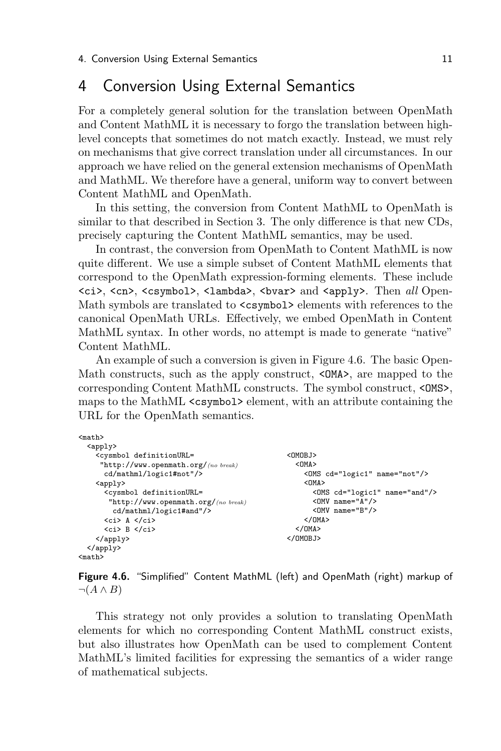### 4 Conversion Using External Semantics

For a completely general solution for the translation between OpenMath and Content MathML it is necessary to forgo the translation between highlevel concepts that sometimes do not match exactly. Instead, we must rely on mechanisms that give correct translation under all circumstances. In our approach we have relied on the general extension mechanisms of OpenMath and MathML. We therefore have a general, uniform way to convert between Content MathML and OpenMath.

In this setting, the conversion from Content MathML to OpenMath is similar to that described in Section 3. The only difference is that new CDs, precisely capturing the Content MathML semantics, may be used.

In contrast, the conversion from OpenMath to Content MathML is now quite different. We use a simple subset of Content MathML elements that correspond to the OpenMath expression-forming elements. These include <ci>, <cn>, <csymbol>, <lambda>, <bvar> and <apply>. Then all Open-Math symbols are translated to  $\langle$ csymbol> elements with references to the canonical OpenMath URLs. Effectively, we embed OpenMath in Content MathML syntax. In other words, no attempt is made to generate "native" Content MathML.

An example of such a conversion is given in Figure 4.6. The basic Open-Math constructs, such as the apply construct,  $\langle OMA \rangle$ , are mapped to the corresponding Content MathML constructs. The symbol construct, <OMS>, maps to the MathML <csymbol> element, with an attribute containing the URL for the OpenMath semantics.

```
<math>
  <apply>
    <cysmbol definitionURL=
     "http://www.openmath.org/(no break)
     cd/mathml/logic1#not"/>
    <apply>
      <cysmbol definitionURL=
       "http://www.openmath.org/(no break)
       cd/mathml/logic1#and"/>

      \langleci> B \langle/ci>
    </apply>
  </apply>
<math>mathh<OMOBJ>
                                                    <NMS<OMS cd="logic1" name="not"/>
                                                      <OMA<OMS cd="logic1" name="and"/>
                                                        <OMV name="A"/>
                                                        <OMV name="B"/>
                                                      </OMA>
                                                    </OMA>
                                                  </OMOBJ>
```
Figure 4.6. "Simplified" Content MathML (left) and OpenMath (right) markup of  $\neg(A \land B)$ 

This strategy not only provides a solution to translating OpenMath elements for which no corresponding Content MathML construct exists, but also illustrates how OpenMath can be used to complement Content MathML's limited facilities for expressing the semantics of a wider range of mathematical subjects.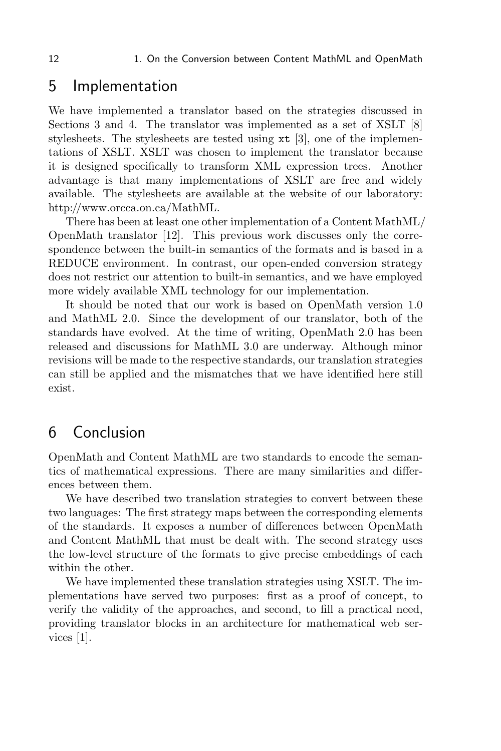### 5 Implementation

We have implemented a translator based on the strategies discussed in Sections 3 and 4. The translator was implemented as a set of XSLT [8] stylesheets. The stylesheets are tested using xt [3], one of the implementations of XSLT. XSLT was chosen to implement the translator because it is designed specifically to transform XML expression trees. Another advantage is that many implementations of XSLT are free and widely available. The stylesheets are available at the website of our laboratory: http://www.orcca.on.ca/MathML.

There has been at least one other implementation of a Content MathML/ OpenMath translator [12]. This previous work discusses only the correspondence between the built-in semantics of the formats and is based in a REDUCE environment. In contrast, our open-ended conversion strategy does not restrict our attention to built-in semantics, and we have employed more widely available XML technology for our implementation.

It should be noted that our work is based on OpenMath version 1.0 and MathML 2.0. Since the development of our translator, both of the standards have evolved. At the time of writing, OpenMath 2.0 has been released and discussions for MathML 3.0 are underway. Although minor revisions will be made to the respective standards, our translation strategies can still be applied and the mismatches that we have identified here still exist.

### 6 Conclusion

OpenMath and Content MathML are two standards to encode the semantics of mathematical expressions. There are many similarities and differences between them.

We have described two translation strategies to convert between these two languages: The first strategy maps between the corresponding elements of the standards. It exposes a number of differences between OpenMath and Content MathML that must be dealt with. The second strategy uses the low-level structure of the formats to give precise embeddings of each within the other.

We have implemented these translation strategies using XSLT. The implementations have served two purposes: first as a proof of concept, to verify the validity of the approaches, and second, to fill a practical need, providing translator blocks in an architecture for mathematical web services [1].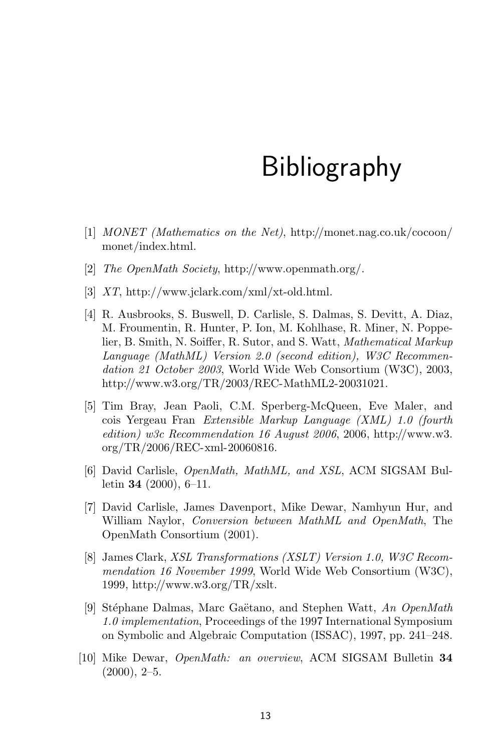## Bibliography

- [1] MONET (Mathematics on the Net), http://monet.nag.co.uk/cocoon/ monet/index.html.
- [2] The OpenMath Society, http://www.openmath.org/.
- [3] XT, http://www.jclark.com/xml/xt-old.html.
- [4] R. Ausbrooks, S. Buswell, D. Carlisle, S. Dalmas, S. Devitt, A. Diaz, M. Froumentin, R. Hunter, P. Ion, M. Kohlhase, R. Miner, N. Poppelier, B. Smith, N. Soiffer, R. Sutor, and S. Watt, Mathematical Markup Language (MathML) Version 2.0 (second edition), W3C Recommendation 21 October 2003, World Wide Web Consortium (W3C), 2003, http://www.w3.org/TR/2003/REC-MathML2-20031021.
- [5] Tim Bray, Jean Paoli, C.M. Sperberg-McQueen, Eve Maler, and cois Yergeau Fran Extensible Markup Language (XML) 1.0 (fourth edition) w3c Recommendation 16 August 2006, 2006, http://www.w3. org/TR/2006/REC-xml-20060816.
- [6] David Carlisle, OpenMath, MathML, and XSL, ACM SIGSAM Bulletin 34 (2000), 6–11.
- [7] David Carlisle, James Davenport, Mike Dewar, Namhyun Hur, and William Naylor, Conversion between MathML and OpenMath, The OpenMath Consortium (2001).
- [8] James Clark, XSL Transformations (XSLT) Version 1.0, W3C Recommendation 16 November 1999, World Wide Web Consortium (W3C), 1999, http://www.w3.org/TR/xslt.
- [9] Stéphane Dalmas, Marc Gaëtano, and Stephen Watt, An OpenMath 1.0 implementation, Proceedings of the 1997 International Symposium on Symbolic and Algebraic Computation (ISSAC), 1997, pp. 241–248.
- [10] Mike Dewar, OpenMath: an overview, ACM SIGSAM Bulletin 34  $(2000), 2-5.$